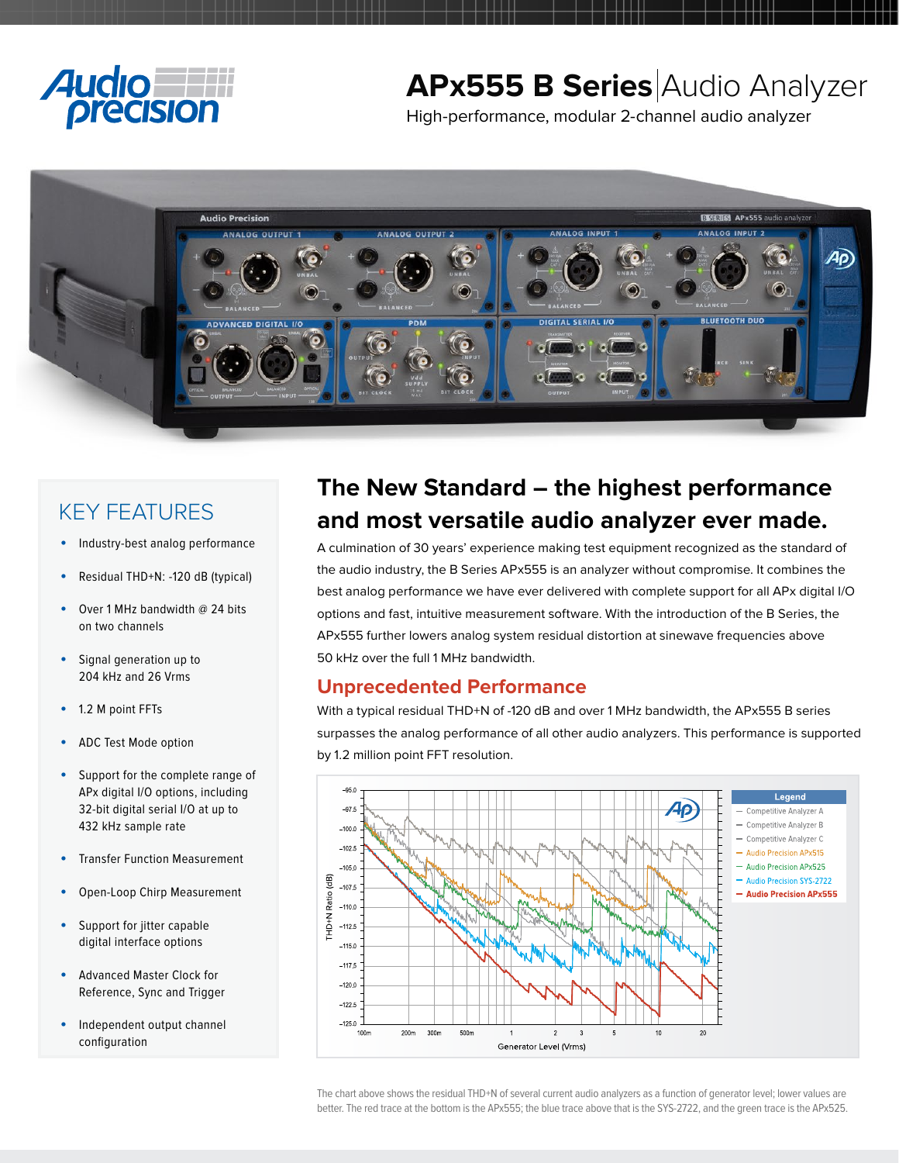

# **APx555 B Series** Audio Analyzer

High-performance, modular 2-channel audio analyzer



## KEY FEATURES

- Industry-best analog performance
- Residual THD+N: -120 dB (typical)
- Over 1 MHz bandwidth @ 24 bits on two channels
- Signal generation up to 204 kHz and 26 Vrms
- 1.2 M point FFTs
- ADC Test Mode option
- Support for the complete range of APx digital I/O options, including 32-bit digital serial I/O at up to 432 kHz sample rate
- **Transfer Function Measurement**
- Open-Loop Chirp Measurement
- Support for jitter capable digital interface options
- Advanced Master Clock for Reference, Sync and Trigger
- Independent output channel configuration

## **The New Standard – the highest performance and most versatile audio analyzer ever made.**

A culmination of 30 years' experience making test equipment recognized as the standard of the audio industry, the B Series APx555 is an analyzer without compromise. It combines the best analog performance we have ever delivered with complete support for all APx digital I/O options and fast, intuitive measurement software. With the introduction of the B Series, the APx555 further lowers analog system residual distortion at sinewave frequencies above 50 kHz over the full 1 MHz bandwidth.

### **Unprecedented Performance**

With a typical residual THD+N of -120 dB and over 1 MHz bandwidth, the APx555 B series surpasses the analog performance of all other audio analyzers. This performance is supported by 1.2 million point FFT resolution.



The chart above shows the residual THD+N of several current audio analyzers as a function of generator level; lower values are better. The red trace at the bottom is the APx555; the blue trace above that is the SYS-2722, and the green trace is the APx525.